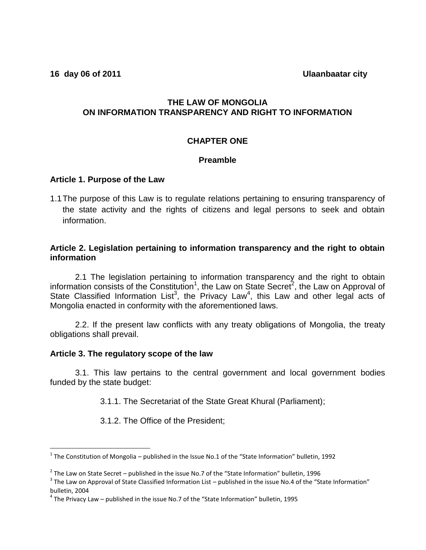**16 day 06 of 2011 Ulaanbaatar city** 

# **THE LAW OF MONGOLIA ON INFORMATION TRANSPARENCY AND RIGHT TO INFORMATION**

### **CHAPTER ONE**

#### **Preamble**

### **Article 1. Purpose of the Law**

1.1The purpose of this Law is to regulate relations pertaining to ensuring transparency of the state activity and the rights of citizens and legal persons to seek and obtain information.

### **Article 2. Legislation pertaining to information transparency and the right to obtain information**

2.1 The legislation pertaining to information transparency and the right to obtain information consists of the Constitution<sup>1</sup>, the Law on State Secret<sup>2</sup>, the Law on Approval of State Classified Information List<sup>3</sup>, the Privacy Law<sup>4</sup>, this Law and other legal acts of Mongolia enacted in conformity with the aforementioned laws.

2.2. If the present law conflicts with any treaty obligations of Mongolia, the treaty obligations shall prevail.

#### **Article 3. The regulatory scope of the law**

 $\overline{a}$ 

3.1. This law pertains to the central government and local government bodies funded by the state budget:

3.1.1. The Secretariat of the State Great Khural (Parliament);

3.1.2. The Office of the President;

<sup>&</sup>lt;sup>1</sup> The Constitution of Mongolia – published in the Issue No.1 of the "State Information" bulletin, 1992

 $^2$  The Law on State Secret – published in the issue No.7 of the "State Information" bulletin, 1996

 $3$  The Law on Approval of State Classified Information List – published in the issue No.4 of the "State Information" bulletin, 2004

 $^4$  The Privacy Law – published in the issue No.7 of the "State Information" bulletin, 1995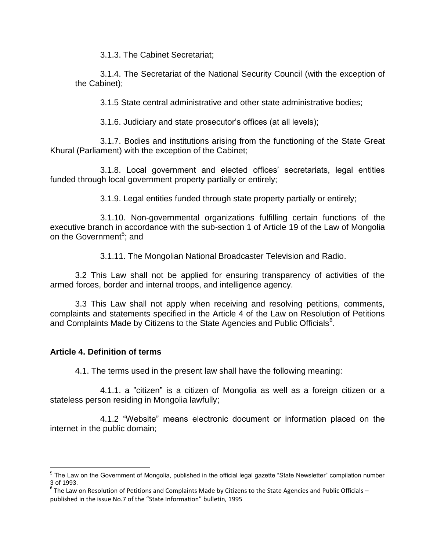3.1.3. The Cabinet Secretariat;

3.1.4. The Secretariat of the National Security Council (with the exception of the Cabinet);

3.1.5 State central administrative and other state administrative bodies;

3.1.6. Judiciary and state prosecutor's offices (at all levels);

3.1.7. Bodies and institutions arising from the functioning of the State Great Khural (Parliament) with the exception of the Cabinet;

3.1.8. Local government and elected offices' secretariats, legal entities funded through local government property partially or entirely;

3.1.9. Legal entities funded through state property partially or entirely;

3.1.10. Non-governmental organizations fulfilling certain functions of the executive branch in accordance with the sub-section 1 of Article 19 of the Law of Mongolia on the Government<sup>5</sup>; and

3.1.11. The Mongolian National Broadcaster Television and Radio.

3.2 This Law shall not be applied for ensuring transparency of activities of the armed forces, border and internal troops, and intelligence agency.

3.3 This Law shall not apply when receiving and resolving petitions, comments, complaints and statements specified in the Article 4 of the Law on Resolution of Petitions and Complaints Made by Citizens to the State Agencies and Public Officials<sup>6</sup>.

# **Article 4. Definition of terms**

4.1. The terms used in the present law shall have the following meaning:

4.1.1. a "citizen" is a citizen of Mongolia as well as a foreign citizen or a stateless person residing in Mongolia lawfully;

 4.1.2 "Website" means electronic document or information placed on the internet in the public domain;

 5 The Law on the Government of Mongolia, published in the official legal gazette "State Newsletter" compilation number 3 of 1993.

 $^6$  The Law on Resolution of Petitions and Complaints Made by Citizens to the State Agencies and Public Officials – published in the issue No.7 of the "State Information" bulletin, 1995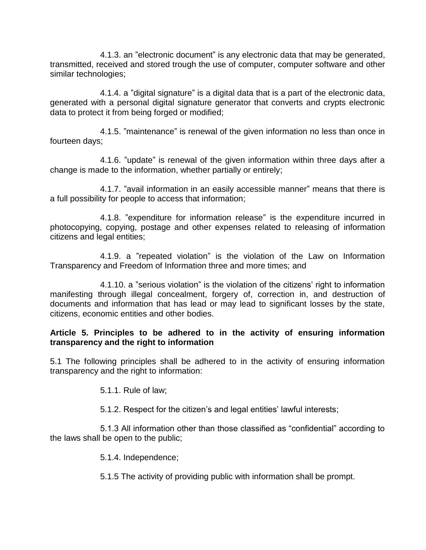4.1.3. an "electronic document" is any electronic data that may be generated, transmitted, received and stored trough the use of computer, computer software and other similar technologies;

4.1.4. a "digital signature" is a digital data that is a part of the electronic data, generated with a personal digital signature generator that converts and crypts electronic data to protect it from being forged or modified;

4.1.5. "maintenance" is renewal of the given information no less than once in fourteen days;

4.1.6. "update" is renewal of the given information within three days after a change is made to the information, whether partially or entirely;

4.1.7. "avail information in an easily accessible manner" means that there is a full possibility for people to access that information;

4.1.8. "expenditure for information release" is the expenditure incurred in photocopying, copying, postage and other expenses related to releasing of information citizens and legal entities;

4.1.9. a "repeated violation" is the violation of the Law on Information Transparency and Freedom of Information three and more times; and

4.1.10. a "serious violation" is the violation of the citizens' right to information manifesting through illegal concealment, forgery of, correction in, and destruction of documents and information that has lead or may lead to significant losses by the state, citizens, economic entities and other bodies.

# **Article 5. Principles to be adhered to in the activity of ensuring information transparency and the right to information**

5.1 The following principles shall be adhered to in the activity of ensuring information transparency and the right to information:

5.1.1. Rule of law;

5.1.2. Respect for the citizen's and legal entities' lawful interests;

5.1.3 All information other than those classified as "confidential" according to the laws shall be open to the public;

5.1.4. Independence;

5.1.5 The activity of providing public with information shall be prompt.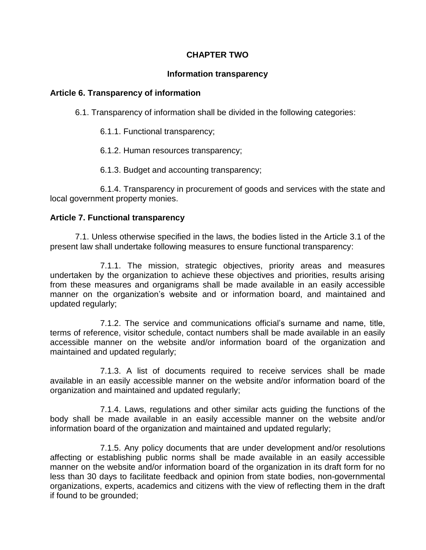# **CHAPTER TWO**

# **Information transparency**

# **Article 6. Transparency of information**

6.1. Transparency of information shall be divided in the following categories:

6.1.1. Functional transparency;

6.1.2. Human resources transparency;

6.1.3. Budget and accounting transparency;

6.1.4. Transparency in procurement of goods and services with the state and local government property monies.

# **Article 7. Functional transparency**

7.1. Unless otherwise specified in the laws, the bodies listed in the Article 3.1 of the present law shall undertake following measures to ensure functional transparency:

7.1.1. The mission, strategic objectives, priority areas and measures undertaken by the organization to achieve these objectives and priorities, results arising from these measures and organigrams shall be made available in an easily accessible manner on the organization's website and or information board, and maintained and updated regularly;

7.1.2. The service and communications official's surname and name, title, terms of reference, visitor schedule, contact numbers shall be made available in an easily accessible manner on the website and/or information board of the organization and maintained and updated regularly;

7.1.3. A list of documents required to receive services shall be made available in an easily accessible manner on the website and/or information board of the organization and maintained and updated regularly;

7.1.4. Laws, regulations and other similar acts guiding the functions of the body shall be made available in an easily accessible manner on the website and/or information board of the organization and maintained and updated regularly;

7.1.5. Any policy documents that are under development and/or resolutions affecting or establishing public norms shall be made available in an easily accessible manner on the website and/or information board of the organization in its draft form for no less than 30 days to facilitate feedback and opinion from state bodies, non-governmental organizations, experts, academics and citizens with the view of reflecting them in the draft if found to be grounded;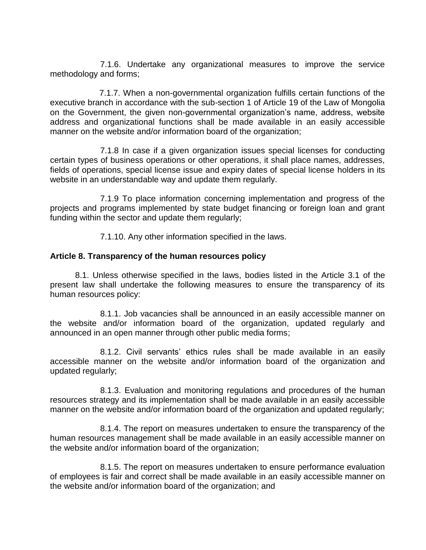7.1.6. Undertake any organizational measures to improve the service methodology and forms;

7.1.7. When a non-governmental organization fulfills certain functions of the executive branch in accordance with the sub-section 1 of Article 19 of the Law of Mongolia on the Government, the given non-governmental organization's name, address, website address and organizational functions shall be made available in an easily accessible manner on the website and/or information board of the organization;

7.1.8 In case if a given organization issues special licenses for conducting certain types of business operations or other operations, it shall place names, addresses, fields of operations, special license issue and expiry dates of special license holders in its website in an understandable way and update them regularly.

7.1.9 To place information concerning implementation and progress of the projects and programs implemented by state budget financing or foreign loan and grant funding within the sector and update them regularly;

7.1.10. Any other information specified in the laws.

# **Article 8. Transparency of the human resources policy**

8.1. Unless otherwise specified in the laws, bodies listed in the Article 3.1 of the present law shall undertake the following measures to ensure the transparency of its human resources policy:

8.1.1. Job vacancies shall be announced in an easily accessible manner on the website and/or information board of the organization, updated regularly and announced in an open manner through other public media forms;

8.1.2. Civil servants' ethics rules shall be made available in an easily accessible manner on the website and/or information board of the organization and updated regularly;

8.1.3. Evaluation and monitoring regulations and procedures of the human resources strategy and its implementation shall be made available in an easily accessible manner on the website and/or information board of the organization and updated regularly;

8.1.4. The report on measures undertaken to ensure the transparency of the human resources management shall be made available in an easily accessible manner on the website and/or information board of the organization;

8.1.5. The report on measures undertaken to ensure performance evaluation of employees is fair and correct shall be made available in an easily accessible manner on the website and/or information board of the organization; and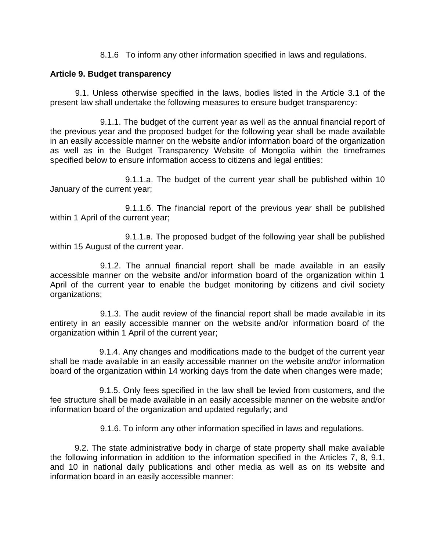8.1.6 To inform any other information specified in laws and regulations.

# **Article 9. Budget transparency**

9.1. Unless otherwise specified in the laws, bodies listed in the Article 3.1 of the present law shall undertake the following measures to ensure budget transparency:

9.1.1. The budget of the current year as well as the annual financial report of the previous year and the proposed budget for the following year shall be made available in an easily accessible manner on the website and/or information board of the organization as well as in the Budget Transparency Website of Mongolia within the timeframes specified below to ensure information access to citizens and legal entities:

9.1.1.а. The budget of the current year shall be published within 10 January of the current year;

9.1.1.б. The financial report of the previous year shall be published within 1 April of the current year;

9.1.1.в. The proposed budget of the following year shall be published within 15 August of the current year.

9.1.2. The annual financial report shall be made available in an easily accessible manner on the website and/or information board of the organization within 1 April of the current year to enable the budget monitoring by citizens and civil society organizations;

9.1.3. The audit review of the financial report shall be made available in its entirety in an easily accessible manner on the website and/or information board of the organization within 1 April of the current year;

9.1.4. Any changes and modifications made to the budget of the current year shall be made available in an easily accessible manner on the website and/or information board of the organization within 14 working days from the date when changes were made;

9.1.5. Only fees specified in the law shall be levied from customers, and the fee structure shall be made available in an easily accessible manner on the website and/or information board of the organization and updated regularly; and

9.1.6. To inform any other information specified in laws and regulations.

9.2. The state administrative body in charge of state property shall make available the following information in addition to the information specified in the Articles 7, 8, 9.1, and 10 in national daily publications and other media as well as on its website and information board in an easily accessible manner: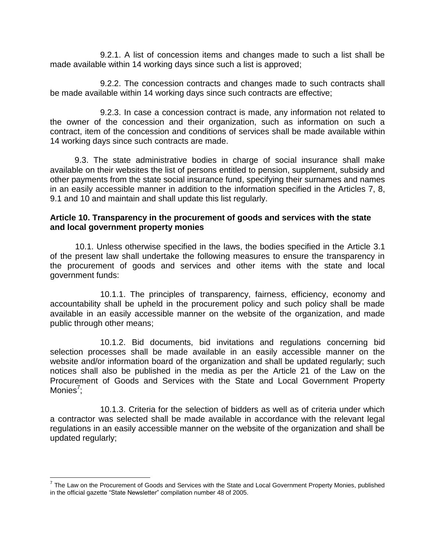9.2.1. A list of concession items and changes made to such a list shall be made available within 14 working days since such a list is approved;

9.2.2. The concession contracts and changes made to such contracts shall be made available within 14 working days since such contracts are effective;

9.2.3. In case a concession contract is made, any information not related to the owner of the concession and their organization, such as information on such a contract, item of the concession and conditions of services shall be made available within 14 working days since such contracts are made.

9.3. The state administrative bodies in charge of social insurance shall make available on their websites the list of persons entitled to pension, supplement, subsidy and other payments from the state social insurance fund, specifying their surnames and names in an easily accessible manner in addition to the information specified in the Articles 7, 8, 9.1 and 10 and maintain and shall update this list regularly.

### **Article 10. Transparency in the procurement of goods and services with the state and local government property monies**

10.1. Unless otherwise specified in the laws, the bodies specified in the Article 3.1 of the present law shall undertake the following measures to ensure the transparency in the procurement of goods and services and other items with the state and local government funds:

10.1.1. The principles of transparency, fairness, efficiency, economy and accountability shall be upheld in the procurement policy and such policy shall be made available in an easily accessible manner on the website of the organization, and made public through other means;

10.1.2. Bid documents, bid invitations and regulations concerning bid selection processes shall be made available in an easily accessible manner on the website and/or information board of the organization and shall be updated regularly; such notices shall also be published in the media as per the Article 21 of the Law on the Procurement of Goods and Services with the State and Local Government Property Monies<sup>7</sup>;

10.1.3. Criteria for the selection of bidders as well as of criteria under which a contractor was selected shall be made available in accordance with the relevant legal regulations in an easily accessible manner on the website of the organization and shall be updated regularly;

 $\overline{a}$ 

<sup>&</sup>lt;sup>7</sup> The Law on the Procurement of Goods and Services with the State and Local Government Property Monies, published in the official gazette "State Newsletter" compilation number 48 of 2005.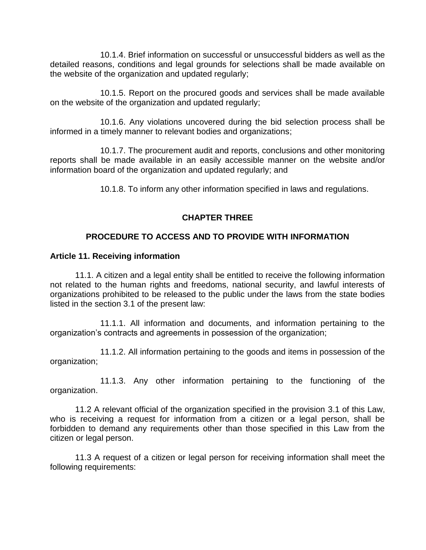10.1.4. Brief information on successful or unsuccessful bidders as well as the detailed reasons, conditions and legal grounds for selections shall be made available on the website of the organization and updated regularly;

10.1.5. Report on the procured goods and services shall be made available on the website of the organization and updated regularly;

10.1.6. Any violations uncovered during the bid selection process shall be informed in a timely manner to relevant bodies and organizations;

10.1.7. The procurement audit and reports, conclusions and other monitoring reports shall be made available in an easily accessible manner on the website and/or information board of the organization and updated regularly; and

10.1.8. To inform any other information specified in laws and regulations.

# **CHAPTER THREE**

# **PROCEDURE TO ACCESS AND TO PROVIDE WITH INFORMATION**

### **Article 11. Receiving information**

11.1. A citizen and a legal entity shall be entitled to receive the following information not related to the human rights and freedoms, national security, and lawful interests of organizations prohibited to be released to the public under the laws from the state bodies listed in the section 3.1 of the present law:

11.1.1. All information and documents, and information pertaining to the organization's contracts and agreements in possession of the organization;

11.1.2. All information pertaining to the goods and items in possession of the organization;

11.1.3. Any other information pertaining to the functioning of the organization.

11.2 A relevant official of the organization specified in the provision 3.1 of this Law, who is receiving a request for information from a citizen or a legal person, shall be forbidden to demand any requirements other than those specified in this Law from the citizen or legal person.

11.3 A request of a citizen or legal person for receiving information shall meet the following requirements: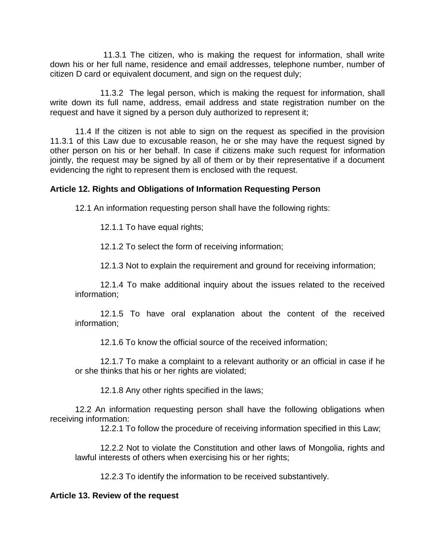11.3.1 The citizen, who is making the request for information, shall write down his or her full name, residence and email addresses, telephone number, number of citizen D card or equivalent document, and sign on the request duly;

11.3.2 The legal person, which is making the request for information, shall write down its full name, address, email address and state registration number on the request and have it signed by a person duly authorized to represent it;

11.4 If the citizen is not able to sign on the request as specified in the provision 11.3.1 of this Law due to excusable reason, he or she may have the request signed by other person on his or her behalf. In case if citizens make such request for information jointly, the request may be signed by all of them or by their representative if a document evidencing the right to represent them is enclosed with the request.

# **Article 12. Rights and Obligations of Information Requesting Person**

12.1 An information requesting person shall have the following rights:

12.1.1 To have equal rights;

12.1.2 To select the form of receiving information;

12.1.3 Not to explain the requirement and ground for receiving information;

12.1.4 To make additional inquiry about the issues related to the received information;

12.1.5 To have oral explanation about the content of the received information;

12.1.6 To know the official source of the received information;

12.1.7 To make a complaint to a relevant authority or an official in case if he or she thinks that his or her rights are violated;

12.1.8 Any other rights specified in the laws;

12.2 An information requesting person shall have the following obligations when receiving information:

12.2.1 To follow the procedure of receiving information specified in this Law;

12.2.2 Not to violate the Constitution and other laws of Mongolia, rights and lawful interests of others when exercising his or her rights;

12.2.3 To identify the information to be received substantively.

# **Article 13. Review of the request**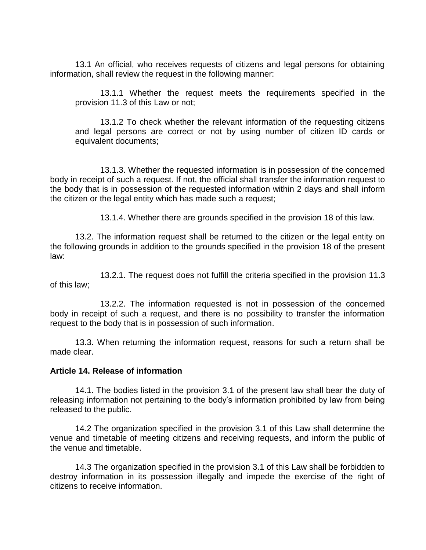13.1 An official, who receives requests of citizens and legal persons for obtaining information, shall review the request in the following manner:

13.1.1 Whether the request meets the requirements specified in the provision 11.3 of this Law or not;

13.1.2 To check whether the relevant information of the requesting citizens and legal persons are correct or not by using number of citizen ID cards or equivalent documents;

13.1.3. Whether the requested information is in possession of the concerned body in receipt of such a request. If not, the official shall transfer the information request to the body that is in possession of the requested information within 2 days and shall inform the citizen or the legal entity which has made such a request;

13.1.4. Whether there are grounds specified in the provision 18 of this law.

13.2. The information request shall be returned to the citizen or the legal entity on the following grounds in addition to the grounds specified in the provision 18 of the present law:

13.2.1. The request does not fulfill the criteria specified in the provision 11.3 of this law;

13.2.2. The information requested is not in possession of the concerned body in receipt of such a request, and there is no possibility to transfer the information request to the body that is in possession of such information.

13.3. When returning the information request, reasons for such a return shall be made clear.

# **Article 14. Release of information**

14.1. The bodies listed in the provision 3.1 of the present law shall bear the duty of releasing information not pertaining to the body's information prohibited by law from being released to the public.

14.2 The organization specified in the provision 3.1 of this Law shall determine the venue and timetable of meeting citizens and receiving requests, and inform the public of the venue and timetable.

14.3 The organization specified in the provision 3.1 of this Law shall be forbidden to destroy information in its possession illegally and impede the exercise of the right of citizens to receive information.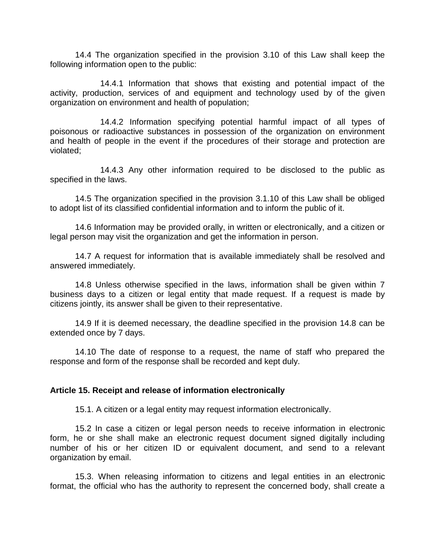14.4 The organization specified in the provision 3.10 of this Law shall keep the following information open to the public:

14.4.1 Information that shows that existing and potential impact of the activity, production, services of and equipment and technology used by of the given organization on environment and health of population;

14.4.2 Information specifying potential harmful impact of all types of poisonous or radioactive substances in possession of the organization on environment and health of people in the event if the procedures of their storage and protection are violated;

14.4.3 Any other information required to be disclosed to the public as specified in the laws.

14.5 The organization specified in the provision 3.1.10 of this Law shall be obliged to adopt list of its classified confidential information and to inform the public of it.

14.6 Information may be provided orally, in written or electronically, and a citizen or legal person may visit the organization and get the information in person.

14.7 A request for information that is available immediately shall be resolved and answered immediately.

14.8 Unless otherwise specified in the laws, information shall be given within 7 business days to a citizen or legal entity that made request. If a request is made by citizens jointly, its answer shall be given to their representative.

14.9 If it is deemed necessary, the deadline specified in the provision 14.8 can be extended once by 7 days.

14.10 The date of response to a request, the name of staff who prepared the response and form of the response shall be recorded and kept duly.

#### **Article 15. Receipt and release of information electronically**

15.1. A citizen or a legal entity may request information electronically.

15.2 In case a citizen or legal person needs to receive information in electronic form, he or she shall make an electronic request document signed digitally including number of his or her citizen ID or equivalent document, and send to a relevant organization by email.

15.3. When releasing information to citizens and legal entities in an electronic format, the official who has the authority to represent the concerned body, shall create a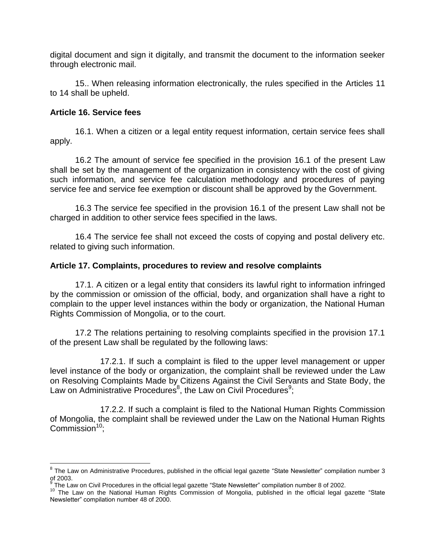digital document and sign it digitally, and transmit the document to the information seeker through electronic mail.

15.. When releasing information electronically, the rules specified in the Articles 11 to 14 shall be upheld.

# **Article 16. Service fees**

 $\overline{a}$ 

16.1. When a citizen or a legal entity request information, certain service fees shall apply.

16.2 The amount of service fee specified in the provision 16.1 of the present Law shall be set by the management of the organization in consistency with the cost of giving such information, and service fee calculation methodology and procedures of paying service fee and service fee exemption or discount shall be approved by the Government.

16.3 The service fee specified in the provision 16.1 of the present Law shall not be charged in addition to other service fees specified in the laws.

16.4 The service fee shall not exceed the costs of copying and postal delivery etc. related to giving such information.

### **Article 17. Complaints, procedures to review and resolve complaints**

17.1. A citizen or a legal entity that considers its lawful right to information infringed by the commission or omission of the official, body, and organization shall have a right to complain to the upper level instances within the body or organization, the National Human Rights Commission of Mongolia, or to the court.

17.2 The relations pertaining to resolving complaints specified in the provision 17.1 of the present Law shall be regulated by the following laws:

17.2.1. If such a complaint is filed to the upper level management or upper level instance of the body or organization, the complaint shall be reviewed under the Law on Resolving Complaints Made by Citizens Against the Civil Servants and State Body, the Law on Administrative Procedures<sup>8</sup>, the Law on Civil Procedures<sup>9</sup>;

17.2.2. If such a complaint is filed to the National Human Rights Commission of Mongolia, the complaint shall be reviewed under the Law on the National Human Rights Commission $10$ :

 $^8$  The Law on Administrative Procedures, published in the official legal gazette "State Newsletter" compilation number 3 of 2003.

 $9$  The Law on Civil Procedures in the official legal gazette "State Newsletter" compilation number 8 of 2002.

<sup>&</sup>lt;sup>10</sup> The Law on the National Human Rights Commission of Mongolia, published in the official legal gazette "State Newsletter" compilation number 48 of 2000.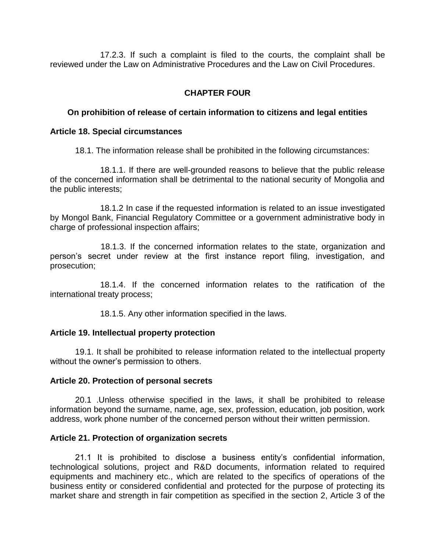17.2.3. If such a complaint is filed to the courts, the complaint shall be reviewed under the Law on Administrative Procedures and the Law on Civil Procedures.

# **CHAPTER FOUR**

### **On prohibition of release of certain information to citizens and legal entities**

#### **Article 18. Special circumstances**

18.1. The information release shall be prohibited in the following circumstances:

18.1.1. If there are well-grounded reasons to believe that the public release of the concerned information shall be detrimental to the national security of Mongolia and the public interests;

18.1.2 In case if the requested information is related to an issue investigated by Mongol Bank, Financial Regulatory Committee or a government administrative body in charge of professional inspection affairs;

 18.1.3. If the concerned information relates to the state, organization and person's secret under review at the first instance report filing, investigation, and prosecution;

18.1.4. If the concerned information relates to the ratification of the international treaty process;

18.1.5. Any other information specified in the laws.

#### **Article 19. Intellectual property protection**

19.1. It shall be prohibited to release information related to the intellectual property without the owner's permission to others.

#### **Article 20. Protection of personal secrets**

20.1 .Unless otherwise specified in the laws, it shall be prohibited to release information beyond the surname, name, age, sex, profession, education, job position, work address, work phone number of the concerned person without their written permission.

#### **Article 21. Protection of organization secrets**

21.1 It is prohibited to disclose a business entity's confidential information, technological solutions, project and R&D documents, information related to required equipments and machinery etc., which are related to the specifics of operations of the business entity or considered confidential and protected for the purpose of protecting its market share and strength in fair competition as specified in the section 2, Article 3 of the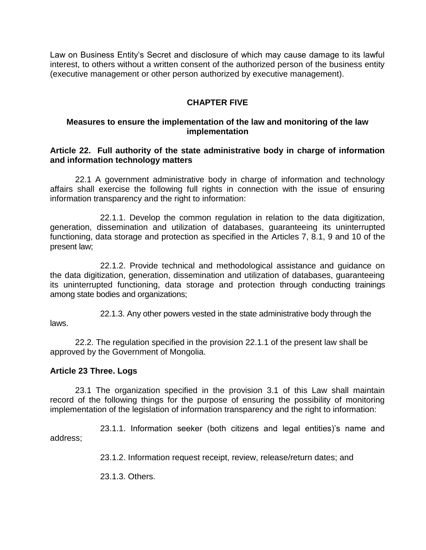Law on Business Entity's Secret and disclosure of which may cause damage to its lawful interest, to others without a written consent of the authorized person of the business entity (executive management or other person authorized by executive management).

# **CHAPTER FIVE**

# **Measures to ensure the implementation of the law and monitoring of the law implementation**

### **Article 22. Full authority of the state administrative body in charge of information and information technology matters**

22.1 A government administrative body in charge of information and technology affairs shall exercise the following full rights in connection with the issue of ensuring information transparency and the right to information:

22.1.1. Develop the common regulation in relation to the data digitization, generation, dissemination and utilization of databases, guaranteeing its uninterrupted functioning, data storage and protection as specified in the Articles 7, 8.1, 9 and 10 of the present law;

22.1.2. Provide technical and methodological assistance and guidance on the data digitization, generation, dissemination and utilization of databases, guaranteeing its uninterrupted functioning, data storage and protection through conducting trainings among state bodies and organizations;

22.1.3. Any other powers vested in the state administrative body through the laws.

22.2. The regulation specified in the provision 22.1.1 of the present law shall be approved by the Government of Mongolia.

# **Article 23 Three. Logs**

23.1 The organization specified in the provision 3.1 of this Law shall maintain record of the following things for the purpose of ensuring the possibility of monitoring implementation of the legislation of information transparency and the right to information:

23.1.1. Information seeker (both citizens and legal entities)'s name and address;

23.1.2. Information request receipt, review, release/return dates; and

23.1.3. Others.